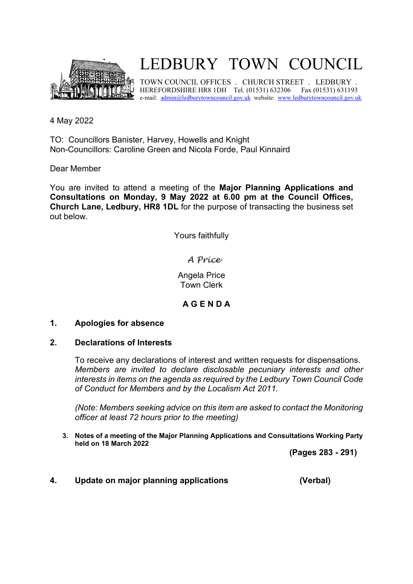

## LEDBURY TOWN COUNCIL

TOWN COUNCIL OFFICES . CHURCH STREET . LEDBURY . HEREFORDSHIRE HR8 1DH Tel. (01531) 632306 Fax (01531) 631193 e-mail: admin[@ledburytowncouncil.g](http://ledburytowncouncil/)ov.uk website: [www.ledburytowncouncil.gov.uk](http://www.ledburytowncouncil.gov.uk/)

4 May 2022

TO: Councillors Banister, Harvey, Howells and Knight Non-Councillors: Caroline Green and Nicola Forde, Paul Kinnaird

Dear Member

You are invited to attend a meeting of the **Major Planning Applications and Consultations on Monday, 9 May 2022 at 6.00 pm at the Council Offices, Church Lane, Ledbury, HR8 1DL** for the purpose of transacting the business set out below.

Yours faithfully

A Príce

Angela Price Town Clerk

**A G E N D A**

## **1. Apologies for absence**

## **2. Declarations of Interests**

To receive any declarations of interest and written requests for dispensations. *Members are invited to declare disclosable pecuniary interests and other interests in items on the agenda as required by the Ledbury Town Council Code of Conduct for Members and by the Localism Act 2011.* 

*(Note: Members seeking advice on this item are asked to contact the Monitoring officer at least 72 hours prior to the meeting)*

**3. Notes of a meeting of the Major Planning Applications and Consultations Working Party held on 18 March 2022**

**(Pages 283 - 291)**

**4. Update on major planning applications (Verbal)**